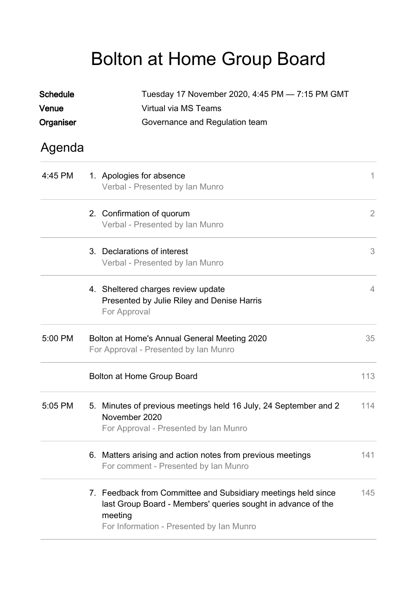## Bolton at Home Group Board

| <b>Schedule</b><br>Venue<br>Organiser | Tuesday 17 November 2020, 4:45 PM - 7:15 PM GMT<br>Virtual via MS Teams<br>Governance and Regulation team                                                                            |                |
|---------------------------------------|--------------------------------------------------------------------------------------------------------------------------------------------------------------------------------------|----------------|
| Agenda                                |                                                                                                                                                                                      |                |
| 4:45 PM                               | 1. Apologies for absence<br>Verbal - Presented by Ian Munro                                                                                                                          | 1              |
|                                       | 2. Confirmation of quorum<br>Verbal - Presented by Ian Munro                                                                                                                         | $\overline{2}$ |
|                                       | 3. Declarations of interest<br>Verbal - Presented by Ian Munro                                                                                                                       | 3              |
|                                       | 4. Sheltered charges review update<br>Presented by Julie Riley and Denise Harris<br>For Approval                                                                                     | $\overline{4}$ |
| 5:00 PM                               | Bolton at Home's Annual General Meeting 2020<br>For Approval - Presented by Ian Munro                                                                                                | 35             |
|                                       | Bolton at Home Group Board                                                                                                                                                           | 113            |
| $5:05$ PM                             | 5. Minutes of previous meetings held 16 July, 24 September and 2<br>November 2020<br>For Approval - Presented by Ian Munro                                                           | 114            |
|                                       | 6. Matters arising and action notes from previous meetings<br>For comment - Presented by Ian Munro                                                                                   | 141            |
|                                       | 7. Feedback from Committee and Subsidiary meetings held since<br>last Group Board - Members' queries sought in advance of the<br>meeting<br>For Information - Presented by Ian Munro | 145            |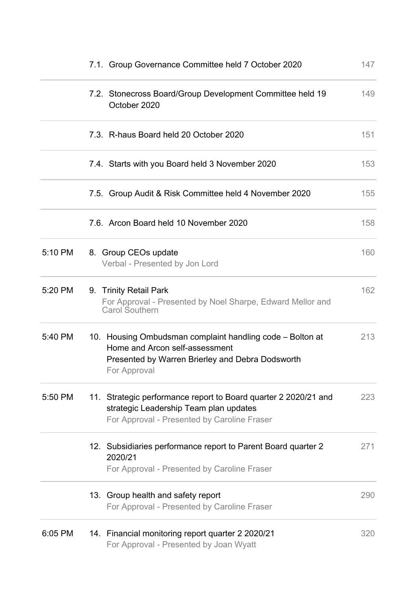|         | 7.1. Group Governance Committee held 7 October 2020                                                                                                             | 147 |
|---------|-----------------------------------------------------------------------------------------------------------------------------------------------------------------|-----|
|         | 7.2. Stonecross Board/Group Development Committee held 19<br>October 2020                                                                                       | 149 |
|         | 7.3. R-haus Board held 20 October 2020                                                                                                                          | 151 |
|         | 7.4. Starts with you Board held 3 November 2020                                                                                                                 | 153 |
|         | 7.5. Group Audit & Risk Committee held 4 November 2020                                                                                                          | 155 |
|         | 7.6. Arcon Board held 10 November 2020                                                                                                                          | 158 |
| 5:10 PM | 8. Group CEOs update<br>Verbal - Presented by Jon Lord                                                                                                          | 160 |
| 5:20 PM | 9. Trinity Retail Park<br>For Approval - Presented by Noel Sharpe, Edward Mellor and<br><b>Carol Southern</b>                                                   | 162 |
| 5:40 PM | 10. Housing Ombudsman complaint handling code – Bolton at<br>Home and Arcon self-assessment<br>Presented by Warren Brierley and Debra Dodsworth<br>For Approval | 213 |
| 5:50 PM | 11. Strategic performance report to Board quarter 2 2020/21 and<br>strategic Leadership Team plan updates<br>For Approval - Presented by Caroline Fraser        | 223 |
|         | 12. Subsidiaries performance report to Parent Board quarter 2<br>2020/21<br>For Approval - Presented by Caroline Fraser                                         | 271 |
|         | 13. Group health and safety report<br>For Approval - Presented by Caroline Fraser                                                                               | 290 |
| 6:05 PM | 14. Financial monitoring report quarter 2 2020/21<br>For Approval - Presented by Joan Wyatt                                                                     | 320 |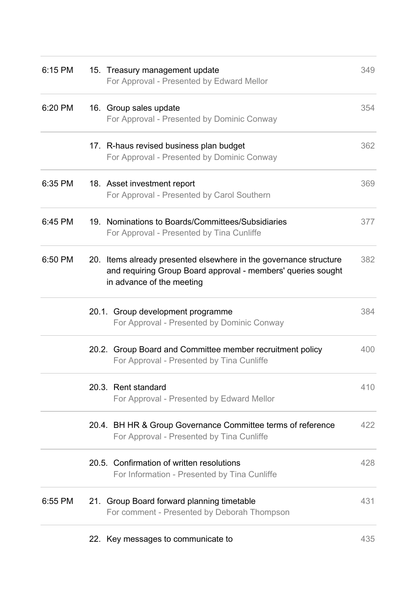| 6:15 PM | 15. Treasury management update<br>For Approval - Presented by Edward Mellor                                                                                    | 349 |
|---------|----------------------------------------------------------------------------------------------------------------------------------------------------------------|-----|
| 6:20 PM | 16. Group sales update<br>For Approval - Presented by Dominic Conway                                                                                           | 354 |
|         | 17. R-haus revised business plan budget<br>For Approval - Presented by Dominic Conway                                                                          | 362 |
| 6:35 PM | 18. Asset investment report<br>For Approval - Presented by Carol Southern                                                                                      | 369 |
| 6:45 PM | 19. Nominations to Boards/Committees/Subsidiaries<br>For Approval - Presented by Tina Cunliffe                                                                 | 377 |
| 6:50 PM | 20. Items already presented elsewhere in the governance structure<br>and requiring Group Board approval - members' queries sought<br>in advance of the meeting | 382 |
|         | 20.1. Group development programme<br>For Approval - Presented by Dominic Conway                                                                                | 384 |
|         | 20.2. Group Board and Committee member recruitment policy<br>For Approval - Presented by Tina Cunliffe                                                         | 400 |
|         | 20.3. Rent standard<br>For Approval - Presented by Edward Mellor                                                                                               | 410 |
|         | 20.4. BH HR & Group Governance Committee terms of reference<br>For Approval - Presented by Tina Cunliffe                                                       | 422 |
|         | 20.5. Confirmation of written resolutions<br>For Information - Presented by Tina Cunliffe                                                                      | 428 |
| 6:55 PM | 21. Group Board forward planning timetable<br>For comment - Presented by Deborah Thompson                                                                      | 431 |
|         | 22. Key messages to communicate to                                                                                                                             | 435 |